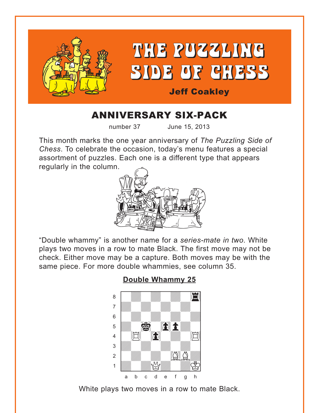<span id="page-0-0"></span>

# ANNIVERSARY SIX-PACK

number 37 June 15, 2013

This month marks the one year anniversary of *The Puzzling Side of Chess*. To celebrate the occasion, today's menu features a special assortment of puzzles. Each one is a different type that appears regularly in the column.



"Double whammy" is another name for a *series-mate in two*. White plays two moves in a row to mate Black. The first move may not be check. Either move may be a capture. Both moves may be with the same piece. For more double whammies, see column 35.



#### **[Double Whammy 25](#page-4-0)**

White plays two moves in a row to mate Black.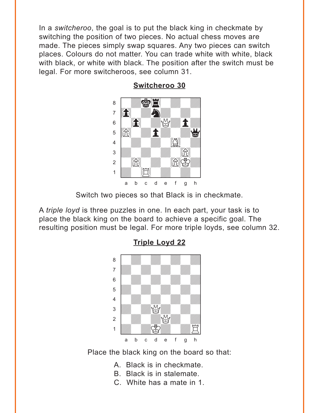<span id="page-1-0"></span>In a switcheroo, the goal is to put the black king in checkmate by switching the position of two pieces. No actual chess moves are made. The pieces simply swap squares. Any two pieces can switch places. Colours do not matter. You can trade white with white, black with black, or white with black. The position after the switch must be legal. For more switcheroos, see column 31.



**Switcheroo 30** 

Switch two pieces so that Black is in checkmate.

A *triple loyd* is three puzzles in one. In each part, your task is to place the black king on the board to achieve a specific goal. The resulting position must be legal. For more triple loyds, see column 32.



**Triple Loyd 22** 

Place the black king on the board so that:

- A. Black is in checkmate.
- B. Black is in stalemate.
- C. White has a mate in 1.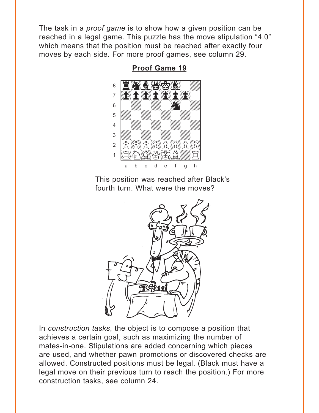<span id="page-2-0"></span>The task in a *proof game* is to show how a given position can be reached in a legal game. This puzzle has the move stipulation "4.0" which means that the position must be reached after exactly four moves by each side. For more proof games, see column 29.



**Proof Game 19** 

This position was reached after Black's fourth turn. What were the moves?



In construction tasks, the object is to compose a position that achieves a certain goal, such as maximizing the number of mates-in-one. Stipulations are added concerning which pieces are used, and whether pawn promotions or discovered checks are allowed. Constructed positions must be legal. (Black must have a legal move on their previous turn to reach the position.) For more construction tasks, see column 24.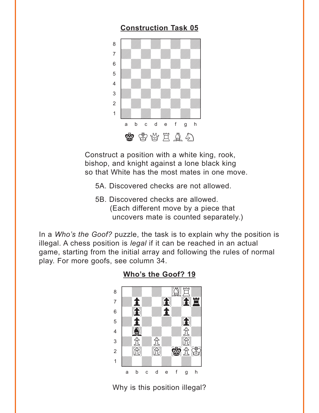# **[Construction Task 05](#page-6-0)**

<span id="page-3-0"></span>

Construct a position with a white king, rook, bishop, and knight against a lone black king so that White has the most mates in one move.

- 5A. Discovered checks are not allowed.
- 5B. Discovered checks are allowed. (Each different move by a piece that uncovers mate is counted separately.)

In a *Who's the Goof?* puzzle, the task is to explain why the position is illegal. A chess position is *legal* if it can be reached in an actual game, starting from the initial array and following the rules of normal play. For more goofs, see column 34.



**[Who's the Goof? 19](#page-7-0)**

Why is this position illegal?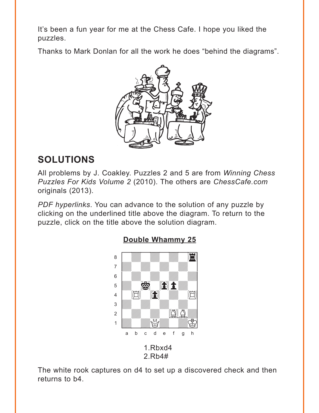<span id="page-4-0"></span>It's been a fun year for me at the Chess Cafe. I hope you liked the puzzles.

Thanks to Mark Donlan for all the work he does "behind the diagrams".



# **SOLUTIONS**

All problems by J. Coakley. Puzzles 2 and 5 are from *Winning Chess Puzzles For Kids Volume 2* (2010). The others are *ChessCafe.com* originals (2013).

*PDF hyperlinks*. You can advance to the solution of any puzzle by clicking on the underlined title above the diagram. To return to the puzzle, click on the title above the solution diagram.



## **[Double Whammy 25](#page-0-0)**

The white rook captures on d4 to set up a discovered check and then returns to b4.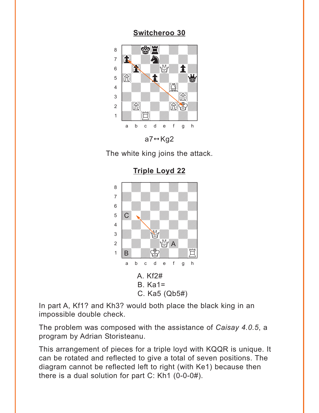### Switcheroo 30

<span id="page-5-0"></span>

The white king joins the attack.

**Triple Loyd 22** 



In part A, Kf1? and Kh3? would both place the black king in an impossible double check.

The problem was composed with the assistance of Caisay 4.0.5, a program by Adrian Storisteanu.

This arrangement of pieces for a triple loyd with KQQR is unique. It can be rotated and reflected to give a total of seven positions. The diagram cannot be reflected left to right (with Ke1) because then there is a dual solution for part C: Kh1 (0-0-0#).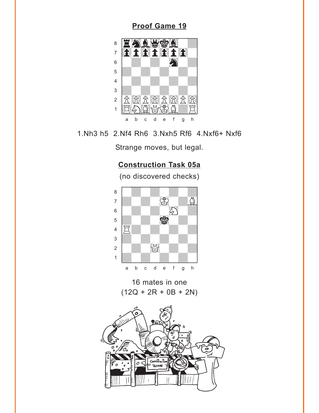### **[Proof Game 19](#page-2-0)**

<span id="page-6-0"></span>

1.Nh3 h5 2.Nf4 Rh6 3.Nxh5 Rf6 4.Nxf6+ Nxf6

Strange moves, but legal.

### **[Construction Task 05a](#page-3-0)**

(no discovered checks)



16 mates in one  $(12Q + 2R + 0B + 2N)$ 

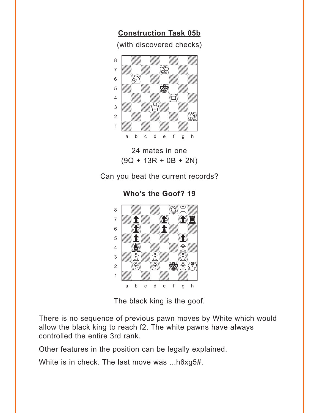**[Construction Task 05b](#page-3-0)**

(with discovered checks)

<span id="page-7-0"></span>

24 mates in one  $(9Q + 13R + 0B + 2N)$ 

Can you beat the current records?

**[Who's the Goof? 19](#page-3-0)**



The black king is the goof.

There is no sequence of previous pawn moves by White which would allow the black king to reach f2. The white pawns have always controlled the entire 3rd rank.

Other features in the position can be legally explained.

White is in check. The last move was ...h6xg5#.